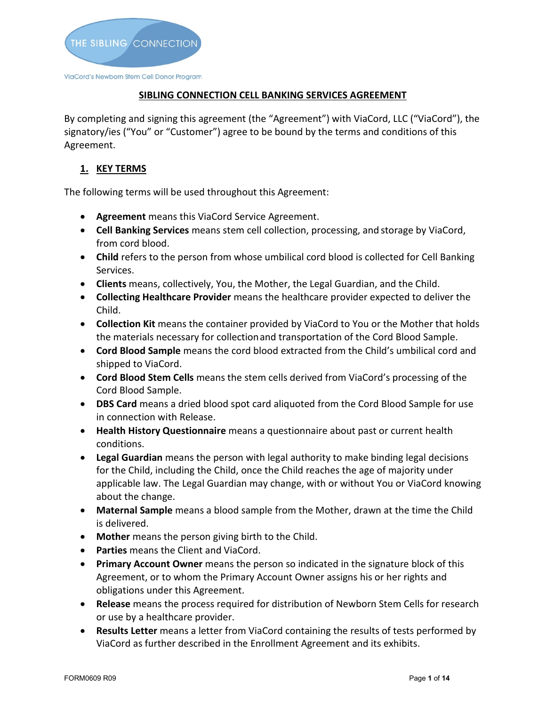

## **SIBLING CONNECTION CELL BANKING SERVICES AGREEMENT**

By completing and signing this agreement (the "Agreement") with ViaCord, LLC ("ViaCord"), the signatory/ies ("You" or "Customer") agree to be bound by the terms and conditions of this Agreement.

# **1. KEY TERMS**

The following terms will be used throughout this Agreement:

- **Agreement** means this ViaCord Service Agreement.
- **Cell Banking Services** means stem cell collection, processing, and storage by ViaCord, from cord blood.
- **Child** refers to the person from whose umbilical cord blood is collected for Cell Banking Services.
- **Clients** means, collectively, You, the Mother, the Legal Guardian, and the Child.
- **Collecting Healthcare Provider** means the healthcare provider expected to deliver the Child.
- **Collection Kit** means the container provided by ViaCord to You or the Mother that holds the materials necessary for collectionand transportation of the Cord Blood Sample.
- **Cord Blood Sample** means the cord blood extracted from the Child's umbilical cord and shipped to ViaCord.
- **Cord Blood Stem Cells** means the stem cells derived from ViaCord's processing of the Cord Blood Sample.
- **DBS Card** means a dried blood spot card aliquoted from the Cord Blood Sample for use in connection with Release.
- **Health History Questionnaire** means a questionnaire about past or current health conditions.
- **Legal Guardian** means the person with legal authority to make binding legal decisions for the Child, including the Child, once the Child reaches the age of majority under applicable law. The Legal Guardian may change, with or without You or ViaCord knowing about the change.
- **Maternal Sample** means a blood sample from the Mother, drawn at the time the Child is delivered.
- **Mother** means the person giving birth to the Child.
- **Parties** means the Client and ViaCord.
- **Primary Account Owner** means the person so indicated in the signature block of this Agreement, or to whom the Primary Account Owner assigns his or her rights and obligations under this Agreement.
- **Release** means the process required for distribution of Newborn Stem Cells for research or use by a healthcare provider.
- **Results Letter** means a letter from ViaCord containing the results of tests performed by ViaCord as further described in the Enrollment Agreement and its exhibits.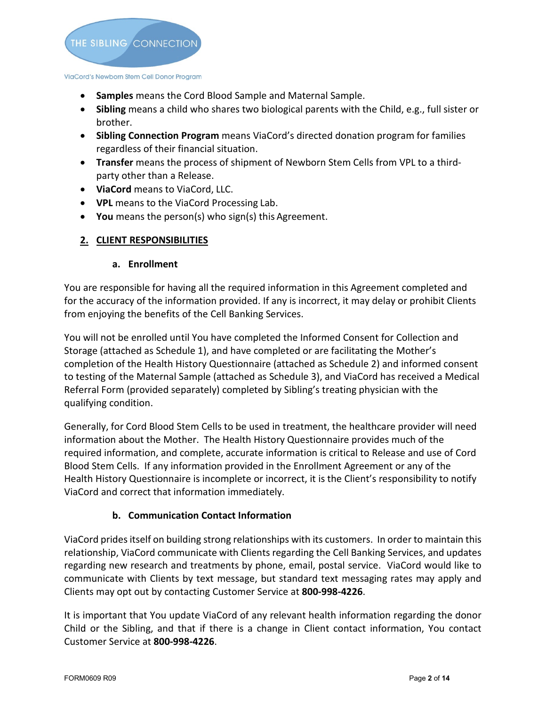

- **Samples** means the Cord Blood Sample and Maternal Sample.
- **Sibling** means a child who shares two biological parents with the Child, e.g., full sister or brother.
- **Sibling Connection Program** means ViaCord's directed donation program for families regardless of their financial situation.
- **Transfer** means the process of shipment of Newborn Stem Cells from VPL to a thirdparty other than a Release.
- **ViaCord** means to ViaCord, LLC.
- **VPL** means to the ViaCord Processing Lab.
- **You** means the person(s) who sign(s) this Agreement.

# **2. CLIENT RESPONSIBILITIES**

## **a. Enrollment**

You are responsible for having all the required information in this Agreement completed and for the accuracy of the information provided. If any is incorrect, it may delay or prohibit Clients from enjoying the benefits of the Cell Banking Services.

You will not be enrolled until You have completed the Informed Consent for Collection and Storage (attached as Schedule 1), and have completed or are facilitating the Mother's completion of the Health History Questionnaire (attached as Schedule 2) and informed consent to testing of the Maternal Sample (attached as Schedule 3), and ViaCord has received a Medical Referral Form (provided separately) completed by Sibling's treating physician with the qualifying condition.

Generally, for Cord Blood Stem Cells to be used in treatment, the healthcare provider will need information about the Mother. The Health History Questionnaire provides much of the required information, and complete, accurate information is critical to Release and use of Cord Blood Stem Cells. If any information provided in the Enrollment Agreement or any of the Health History Questionnaire is incomplete or incorrect, it is the Client's responsibility to notify ViaCord and correct that information immediately.

# **b. Communication Contact Information**

ViaCord prides itself on building strong relationships with its customers. In order to maintain this relationship, ViaCord communicate with Clients regarding the Cell Banking Services, and updates regarding new research and treatments by phone, email, postal service. ViaCord would like to communicate with Clients by text message, but standard text messaging rates may apply and Clients may opt out by contacting Customer Service at **800-998-4226**.

It is important that You update ViaCord of any relevant health information regarding the donor Child or the Sibling, and that if there is a change in Client contact information, You contact Customer Service at **800-998-4226**.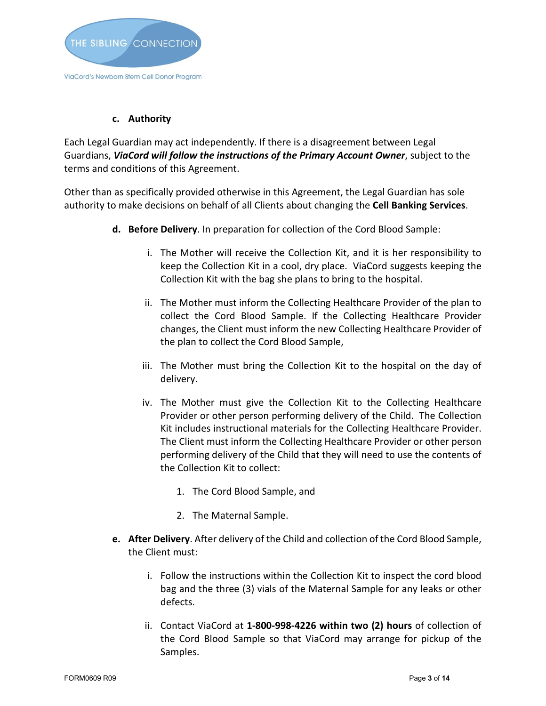

#### **c. Authority**

Each Legal Guardian may act independently. If there is a disagreement between Legal Guardians, *ViaCord will follow the instructions of the Primary Account Owner*, subject to the terms and conditions of this Agreement.

Other than as specifically provided otherwise in this Agreement, the Legal Guardian has sole authority to make decisions on behalf of all Clients about changing the **Cell Banking Services**.

- **d. Before Delivery**. In preparation for collection of the Cord Blood Sample:
	- i. The Mother will receive the Collection Kit, and it is her responsibility to keep the Collection Kit in a cool, dry place. ViaCord suggests keeping the Collection Kit with the bag she plans to bring to the hospital.
	- ii. The Mother must inform the Collecting Healthcare Provider of the plan to collect the Cord Blood Sample. If the Collecting Healthcare Provider changes, the Client must inform the new Collecting Healthcare Provider of the plan to collect the Cord Blood Sample,
	- iii. The Mother must bring the Collection Kit to the hospital on the day of delivery.
	- iv. The Mother must give the Collection Kit to the Collecting Healthcare Provider or other person performing delivery of the Child. The Collection Kit includes instructional materials for the Collecting Healthcare Provider. The Client must inform the Collecting Healthcare Provider or other person performing delivery of the Child that they will need to use the contents of the Collection Kit to collect:
		- 1. The Cord Blood Sample, and
		- 2. The Maternal Sample.
- **e. After Delivery**. After delivery of the Child and collection of the Cord Blood Sample, the Client must:
	- i. Follow the instructions within the Collection Kit to inspect the cord blood bag and the three (3) vials of the Maternal Sample for any leaks or other defects.
	- ii. Contact ViaCord at **1-800-998-4226 within two (2) hours** of collection of the Cord Blood Sample so that ViaCord may arrange for pickup of the Samples.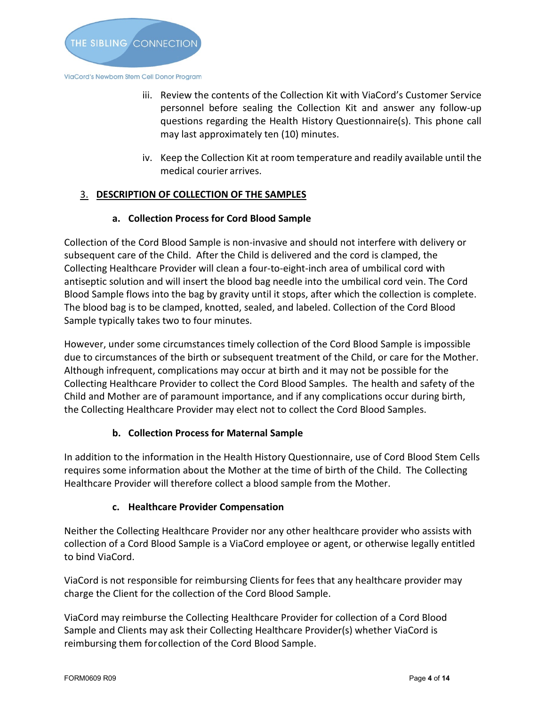

iii. Review the contents of the Collection Kit with ViaCord's Customer Service personnel before sealing the Collection Kit and answer any follow-up questions regarding the Health History Questionnaire(s). This phone call may last approximately ten (10) minutes.

iv. Keep the Collection Kit at room temperature and readily available until the medical courier arrives.

# 3. **DESCRIPTION OF COLLECTION OF THE SAMPLES**

## **a. Collection Process for Cord Blood Sample**

Collection of the Cord Blood Sample is non-invasive and should not interfere with delivery or subsequent care of the Child. After the Child is delivered and the cord is clamped, the Collecting Healthcare Provider will clean a four-to-eight-inch area of umbilical cord with antiseptic solution and will insert the blood bag needle into the umbilical cord vein. The Cord Blood Sample flows into the bag by gravity until it stops, after which the collection is complete. The blood bag is to be clamped, knotted, sealed, and labeled. Collection of the Cord Blood Sample typically takes two to four minutes.

However, under some circumstances timely collection of the Cord Blood Sample is impossible due to circumstances of the birth or subsequent treatment of the Child, or care for the Mother. Although infrequent, complications may occur at birth and it may not be possible for the Collecting Healthcare Provider to collect the Cord Blood Samples. The health and safety of the Child and Mother are of paramount importance, and if any complications occur during birth, the Collecting Healthcare Provider may elect not to collect the Cord Blood Samples.

# **b. Collection Process for Maternal Sample**

In addition to the information in the Health History Questionnaire, use of Cord Blood Stem Cells requires some information about the Mother at the time of birth of the Child. The Collecting Healthcare Provider will therefore collect a blood sample from the Mother.

# **c. Healthcare Provider Compensation**

Neither the Collecting Healthcare Provider nor any other healthcare provider who assists with collection of a Cord Blood Sample is a ViaCord employee or agent, or otherwise legally entitled to bind ViaCord.

ViaCord is not responsible for reimbursing Clients for fees that any healthcare provider may charge the Client for the collection of the Cord Blood Sample.

ViaCord may reimburse the Collecting Healthcare Provider for collection of a Cord Blood Sample and Clients may ask their Collecting Healthcare Provider(s) whether ViaCord is reimbursing them forcollection of the Cord Blood Sample.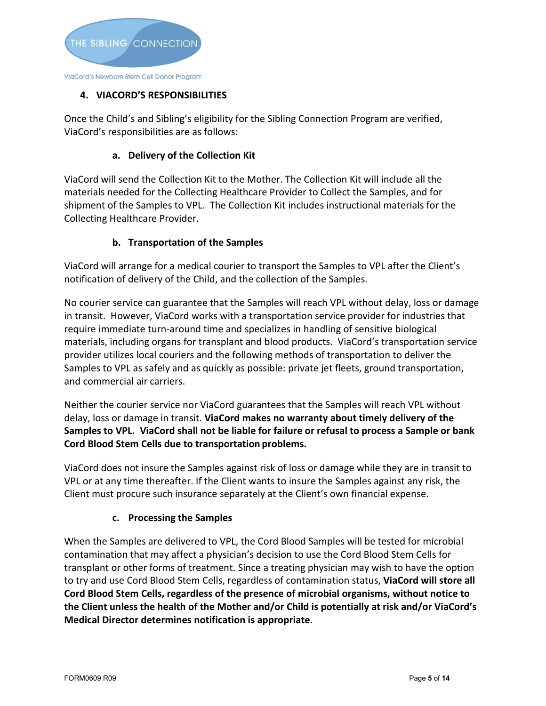

# **4. VIACORD'S RESPONSIBILITIES**

Once the Child's and Sibling's eligibility for the Sibling Connection Program are verified, ViaCord's responsibilities are as follows:

#### **a. Delivery of the Collection Kit**

ViaCord will send the Collection Kit to the Mother. The Collection Kit will include all the materials needed for the Collecting Healthcare Provider to Collect the Samples, and for shipment of the Samples to VPL. The Collection Kit includes instructional materials for the Collecting Healthcare Provider.

#### **b. Transportation of the Samples**

ViaCord will arrange for a medical courier to transport the Samples to VPL after the Client's notification of delivery of the Child, and the collection of the Samples.

No courier service can guarantee that the Samples will reach VPL without delay, loss or damage in transit. However, ViaCord works with a transportation service provider for industries that require immediate turn-around time and specializes in handling of sensitive biological materials, including organs for transplant and blood products. ViaCord's transportation service provider utilizes local couriers and the following methods of transportation to deliver the Samples to VPL as safely and as quickly as possible: private jet fleets, ground transportation, and commercial air carriers.

Neither the courier service nor ViaCord guarantees that the Samples will reach VPL without delay, loss or damage in transit. **ViaCord makes no warranty about timely delivery of the Samples to VPL. ViaCord shall not be liable for failure or refusal to process a Sample or bank Cord Blood Stem Cells due to transportation problems.**

ViaCord does not insure the Samples against risk of loss or damage while they are in transit to VPL or at any time thereafter. If the Client wants to insure the Samples against any risk, the Client must procure such insurance separately at the Client's own financial expense.

#### **c. Processing the Samples**

When the Samples are delivered to VPL, the Cord Blood Samples will be tested for microbial contamination that may affect a physician's decision to use the Cord Blood Stem Cells for transplant or other forms of treatment. Since a treating physician may wish to have the option to try and use Cord Blood Stem Cells, regardless of contamination status, **ViaCord will store all Cord Blood Stem Cells, regardless of the presence of microbial organisms, without notice to the Client unless the health of the Mother and/or Child is potentially at risk and/or ViaCord's Medical Director determines notification is appropriate**.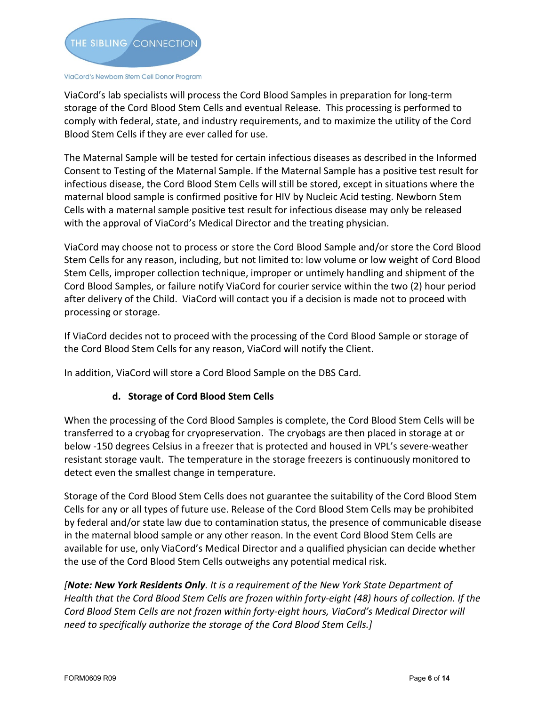

ViaCord's lab specialists will process the Cord Blood Samples in preparation for long-term storage of the Cord Blood Stem Cells and eventual Release. This processing is performed to comply with federal, state, and industry requirements, and to maximize the utility of the Cord Blood Stem Cells if they are ever called for use.

The Maternal Sample will be tested for certain infectious diseases as described in the Informed Consent to Testing of the Maternal Sample. If the Maternal Sample has a positive test result for infectious disease, the Cord Blood Stem Cells will still be stored, except in situations where the maternal blood sample is confirmed positive for HIV by Nucleic Acid testing. Newborn Stem Cells with a maternal sample positive test result for infectious disease may only be released with the approval of ViaCord's Medical Director and the treating physician.

ViaCord may choose not to process or store the Cord Blood Sample and/or store the Cord Blood Stem Cells for any reason, including, but not limited to: low volume or low weight of Cord Blood Stem Cells, improper collection technique, improper or untimely handling and shipment of the Cord Blood Samples, or failure notify ViaCord for courier service within the two (2) hour period after delivery of the Child. ViaCord will contact you if a decision is made not to proceed with processing or storage.

If ViaCord decides not to proceed with the processing of the Cord Blood Sample or storage of the Cord Blood Stem Cells for any reason, ViaCord will notify the Client.

In addition, ViaCord will store a Cord Blood Sample on the DBS Card.

# **d. Storage of Cord Blood Stem Cells**

When the processing of the Cord Blood Samples is complete, the Cord Blood Stem Cells will be transferred to a cryobag for cryopreservation. The cryobags are then placed in storage at or below -150 degrees Celsius in a freezer that is protected and housed in VPL's severe-weather resistant storage vault. The temperature in the storage freezers is continuously monitored to detect even the smallest change in temperature.

Storage of the Cord Blood Stem Cells does not guarantee the suitability of the Cord Blood Stem Cells for any or all types of future use. Release of the Cord Blood Stem Cells may be prohibited by federal and/or state law due to contamination status, the presence of communicable disease in the maternal blood sample or any other reason. In the event Cord Blood Stem Cells are available for use, only ViaCord's Medical Director and a qualified physician can decide whether the use of the Cord Blood Stem Cells outweighs any potential medical risk.

*[Note: New York Residents Only. It is a requirement of the New York State Department of Health that the Cord Blood Stem Cells are frozen within forty-eight (48) hours of collection. If the Cord Blood Stem Cells are not frozen within forty-eight hours, ViaCord's Medical Director will need to specifically authorize the storage of the Cord Blood Stem Cells.]*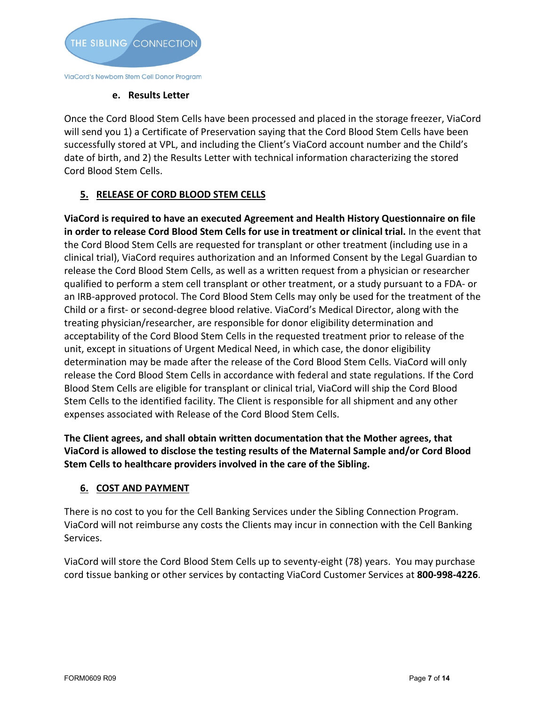

## **e. Results Letter**

Once the Cord Blood Stem Cells have been processed and placed in the storage freezer, ViaCord will send you 1) a Certificate of Preservation saying that the Cord Blood Stem Cells have been successfully stored at VPL, and including the Client's ViaCord account number and the Child's date of birth, and 2) the Results Letter with technical information characterizing the stored Cord Blood Stem Cells.

# **5. RELEASE OF CORD BLOOD STEM CELLS**

**ViaCord is required to have an executed Agreement and Health History Questionnaire on file in order to release Cord Blood Stem Cells for use in treatment or clinical trial.** In the event that the Cord Blood Stem Cells are requested for transplant or other treatment (including use in a clinical trial), ViaCord requires authorization and an Informed Consent by the Legal Guardian to release the Cord Blood Stem Cells, as well as a written request from a physician or researcher qualified to perform a stem cell transplant or other treatment, or a study pursuant to a FDA- or an IRB-approved protocol. The Cord Blood Stem Cells may only be used for the treatment of the Child or a first- or second-degree blood relative. ViaCord's Medical Director, along with the treating physician/researcher, are responsible for donor eligibility determination and acceptability of the Cord Blood Stem Cells in the requested treatment prior to release of the unit, except in situations of Urgent Medical Need, in which case, the donor eligibility determination may be made after the release of the Cord Blood Stem Cells. ViaCord will only release the Cord Blood Stem Cells in accordance with federal and state regulations. If the Cord Blood Stem Cells are eligible for transplant or clinical trial, ViaCord will ship the Cord Blood Stem Cells to the identified facility. The Client is responsible for all shipment and any other expenses associated with Release of the Cord Blood Stem Cells.

**The Client agrees, and shall obtain written documentation that the Mother agrees, that ViaCord is allowed to disclose the testing results of the Maternal Sample and/or Cord Blood Stem Cells to healthcare providers involved in the care of the Sibling.** 

# **6. COST AND PAYMENT**

There is no cost to you for the Cell Banking Services under the Sibling Connection Program. ViaCord will not reimburse any costs the Clients may incur in connection with the Cell Banking Services.

ViaCord will store the Cord Blood Stem Cells up to seventy-eight (78) years. You may purchase cord tissue banking or other services by contacting ViaCord Customer Services at **800-998-4226**.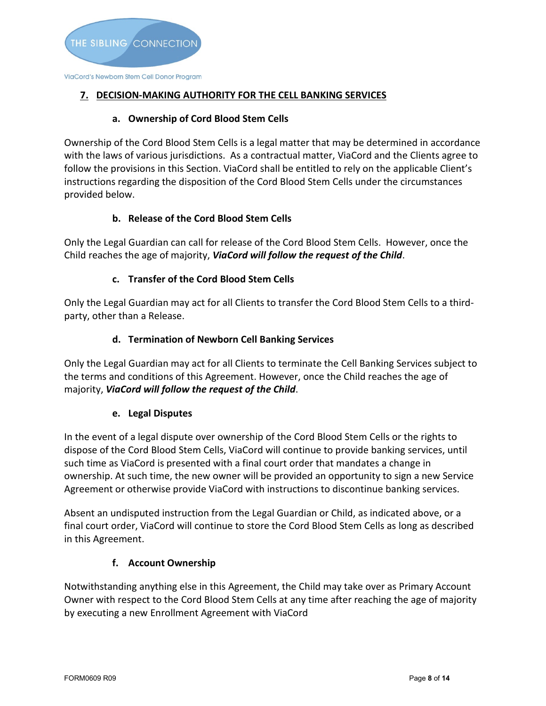# **7. DECISION-MAKING AUTHORITY FOR THE CELL BANKING SERVICES**

### **a. Ownership of Cord Blood Stem Cells**

Ownership of the Cord Blood Stem Cells is a legal matter that may be determined in accordance with the laws of various jurisdictions. As a contractual matter, ViaCord and the Clients agree to follow the provisions in this Section. ViaCord shall be entitled to rely on the applicable Client's instructions regarding the disposition of the Cord Blood Stem Cells under the circumstances provided below.

# **b. Release of the Cord Blood Stem Cells**

Only the Legal Guardian can call for release of the Cord Blood Stem Cells. However, once the Child reaches the age of majority, *ViaCord will follow the request of the Child*.

# **c. Transfer of the Cord Blood Stem Cells**

Only the Legal Guardian may act for all Clients to transfer the Cord Blood Stem Cells to a thirdparty, other than a Release.

## **d. Termination of Newborn Cell Banking Services**

Only the Legal Guardian may act for all Clients to terminate the Cell Banking Services subject to the terms and conditions of this Agreement. However, once the Child reaches the age of majority, *ViaCord will follow the request of the Child*.

#### **e. Legal Disputes**

In the event of a legal dispute over ownership of the Cord Blood Stem Cells or the rights to dispose of the Cord Blood Stem Cells, ViaCord will continue to provide banking services, until such time as ViaCord is presented with a final court order that mandates a change in ownership. At such time, the new owner will be provided an opportunity to sign a new Service Agreement or otherwise provide ViaCord with instructions to discontinue banking services.

Absent an undisputed instruction from the Legal Guardian or Child, as indicated above, or a final court order, ViaCord will continue to store the Cord Blood Stem Cells as long as described in this Agreement.

#### **f. Account Ownership**

Notwithstanding anything else in this Agreement, the Child may take over as Primary Account Owner with respect to the Cord Blood Stem Cells at any time after reaching the age of majority by executing a new Enrollment Agreement with ViaCord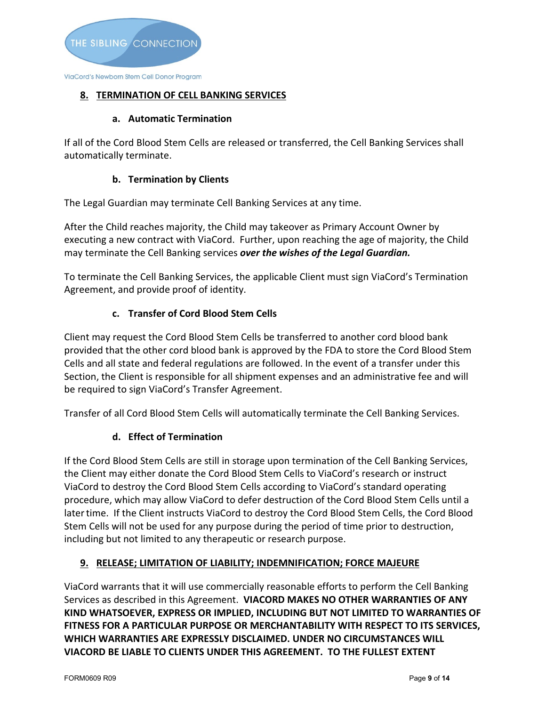# **8. TERMINATION OF CELL BANKING SERVICES**

## **a. Automatic Termination**

If all of the Cord Blood Stem Cells are released or transferred, the Cell Banking Services shall automatically terminate.

# **b. Termination by Clients**

The Legal Guardian may terminate Cell Banking Services at any time.

After the Child reaches majority, the Child may takeover as Primary Account Owner by executing a new contract with ViaCord. Further, upon reaching the age of majority, the Child may terminate the Cell Banking services *over the wishes of the Legal Guardian.* 

To terminate the Cell Banking Services, the applicable Client must sign ViaCord's Termination Agreement, and provide proof of identity.

# **c. Transfer of Cord Blood Stem Cells**

Client may request the Cord Blood Stem Cells be transferred to another cord blood bank provided that the other cord blood bank is approved by the FDA to store the Cord Blood Stem Cells and all state and federal regulations are followed. In the event of a transfer under this Section, the Client is responsible for all shipment expenses and an administrative fee and will be required to sign ViaCord's Transfer Agreement.

Transfer of all Cord Blood Stem Cells will automatically terminate the Cell Banking Services.

# **d. Effect of Termination**

If the Cord Blood Stem Cells are still in storage upon termination of the Cell Banking Services, the Client may either donate the Cord Blood Stem Cells to ViaCord's research or instruct ViaCord to destroy the Cord Blood Stem Cells according to ViaCord's standard operating procedure, which may allow ViaCord to defer destruction of the Cord Blood Stem Cells until a latertime. If the Client instructs ViaCord to destroy the Cord Blood Stem Cells, the Cord Blood Stem Cells will not be used for any purpose during the period of time prior to destruction, including but not limited to any therapeutic or research purpose.

# **9. RELEASE; LIMITATION OF LIABILITY; INDEMNIFICATION; FORCE MAJEURE**

ViaCord warrants that it will use commercially reasonable efforts to perform the Cell Banking Services as described in this Agreement. **VIACORD MAKES NO OTHER WARRANTIES OF ANY KIND WHATSOEVER, EXPRESS OR IMPLIED, INCLUDING BUT NOT LIMITED TO WARRANTIES OF FITNESS FOR A PARTICULAR PURPOSE OR MERCHANTABILITY WITH RESPECT TO ITS SERVICES, WHICH WARRANTIES ARE EXPRESSLY DISCLAIMED. UNDER NO CIRCUMSTANCES WILL VIACORD BE LIABLE TO CLIENTS UNDER THIS AGREEMENT. TO THE FULLEST EXTENT**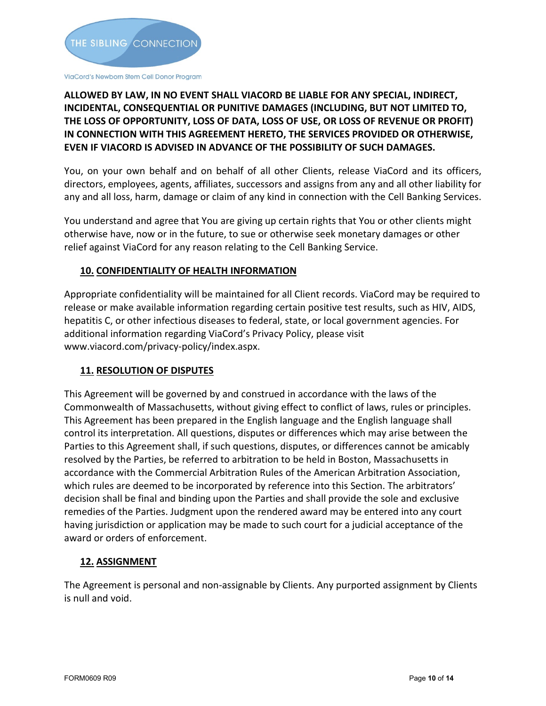

# **ALLOWED BY LAW, IN NO EVENT SHALL VIACORD BE LIABLE FOR ANY SPECIAL, INDIRECT, INCIDENTAL, CONSEQUENTIAL OR PUNITIVE DAMAGES (INCLUDING, BUT NOT LIMITED TO, THE LOSS OF OPPORTUNITY, LOSS OF DATA, LOSS OF USE, OR LOSS OF REVENUE OR PROFIT) IN CONNECTION WITH THIS AGREEMENT HERETO, THE SERVICES PROVIDED OR OTHERWISE, EVEN IF VIACORD IS ADVISED IN ADVANCE OF THE POSSIBILITY OF SUCH DAMAGES.**

You, on your own behalf and on behalf of all other Clients, release ViaCord and its officers, directors, employees, agents, affiliates, successors and assigns from any and all other liability for any and all loss, harm, damage or claim of any kind in connection with the Cell Banking Services.

You understand and agree that You are giving up certain rights that You or other clients might otherwise have, now or in the future, to sue or otherwise seek monetary damages or other relief against ViaCord for any reason relating to the Cell Banking Service.

# **10. CONFIDENTIALITY OF HEALTH INFORMATION**

Appropriate confidentiality will be maintained for all Client records. ViaCord may be required to release or make available information regarding certain positive test results, such as HIV, AIDS, hepatitis C, or other infectious diseases to federal, state, or local government agencies. For additional information regarding ViaCord's Privacy Policy, please visit [www.viacord.com/privacy-policy/index.aspx.](http://www.viacord.com/privacy-policy/index.aspx)

# **11. RESOLUTION OF DISPUTES**

This Agreement will be governed by and construed in accordance with the laws of the Commonwealth of Massachusetts, without giving effect to conflict of laws, rules or principles. This Agreement has been prepared in the English language and the English language shall control its interpretation. All questions, disputes or differences which may arise between the Parties to this Agreement shall, if such questions, disputes, or differences cannot be amicably resolved by the Parties, be referred to arbitration to be held in Boston, Massachusetts in accordance with the Commercial Arbitration Rules of the American Arbitration Association, which rules are deemed to be incorporated by reference into this Section. The arbitrators' decision shall be final and binding upon the Parties and shall provide the sole and exclusive remedies of the Parties. Judgment upon the rendered award may be entered into any court having jurisdiction or application may be made to such court for a judicial acceptance of the award or orders of enforcement.

# **12. ASSIGNMENT**

The Agreement is personal and non-assignable by Clients. Any purported assignment by Clients is null and void.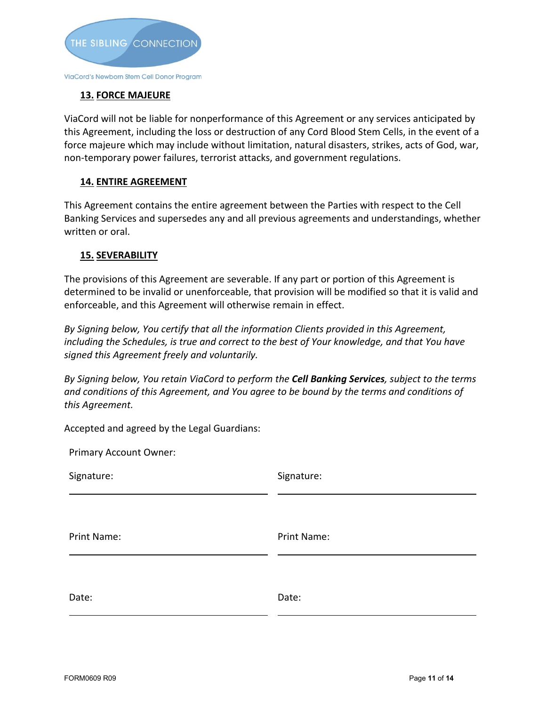

# **13. FORCE MAJEURE**

ViaCord will not be liable for nonperformance of this Agreement or any services anticipated by this Agreement, including the loss or destruction of any Cord Blood Stem Cells, in the event of a force majeure which may include without limitation, natural disasters, strikes, acts of God, war, non-temporary power failures, terrorist attacks, and government regulations.

## **14. ENTIRE AGREEMENT**

This Agreement contains the entire agreement between the Parties with respect to the Cell Banking Services and supersedes any and all previous agreements and understandings, whether written or oral.

#### **15. SEVERABILITY**

Primary Account Owner:

The provisions of this Agreement are severable. If any part or portion of this Agreement is determined to be invalid or unenforceable, that provision will be modified so that it is valid and enforceable, and this Agreement will otherwise remain in effect.

*By Signing below, You certify that all the information Clients provided in this Agreement, including the Schedules, is true and correct to the best of Your knowledge, and that You have signed this Agreement freely and voluntarily.*

*By Signing below, You retain ViaCord to perform the Cell Banking Services, subject to the terms and conditions of this Agreement, and You agree to be bound by the terms and conditions of this Agreement.*

Accepted and agreed by the Legal Guardians:

| Primary Account Owner: |             |
|------------------------|-------------|
| Signature:             | Signature:  |
|                        |             |
| Print Name:            | Print Name: |
|                        |             |
| Date:                  | Date:       |
|                        |             |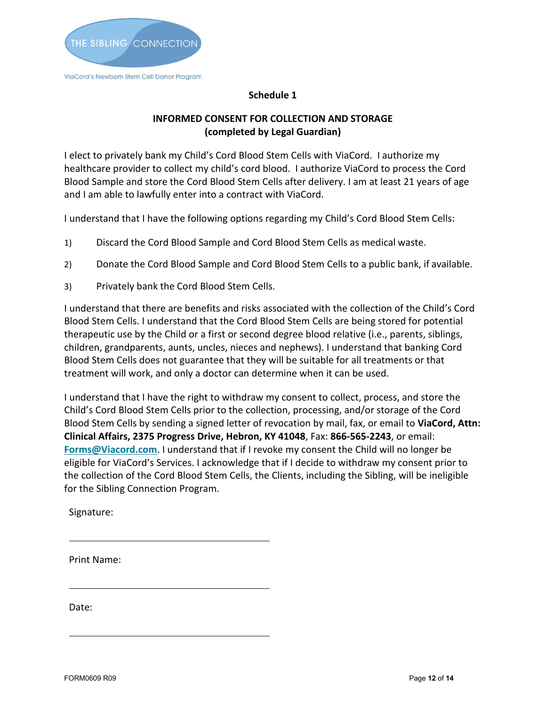

#### **Schedule 1**

## **INFORMED CONSENT FOR COLLECTION AND STORAGE (completed by Legal Guardian)**

I elect to privately bank my Child's Cord Blood Stem Cells with ViaCord. I authorize my healthcare provider to collect my child's cord blood. I authorize ViaCord to process the Cord Blood Sample and store the Cord Blood Stem Cells after delivery. I am at least 21 years of age and I am able to lawfully enter into a contract with ViaCord.

I understand that I have the following options regarding my Child's Cord Blood Stem Cells:

- 1) Discard the Cord Blood Sample and Cord Blood Stem Cells as medical waste.
- 2) Donate the Cord Blood Sample and Cord Blood Stem Cells to a public bank, if available.
- 3) Privately bank the Cord Blood Stem Cells.

I understand that there are benefits and risks associated with the collection of the Child's Cord Blood Stem Cells. I understand that the Cord Blood Stem Cells are being stored for potential therapeutic use by the Child or a first or second degree blood relative (i.e., parents, siblings, children, grandparents, aunts, uncles, nieces and nephews). I understand that banking Cord Blood Stem Cells does not guarantee that they will be suitable for all treatments or that treatment will work, and only a doctor can determine when it can be used.

I understand that I have the right to withdraw my consent to collect, process, and store the Child's Cord Blood Stem Cells prior to the collection, processing, and/or storage of the Cord Blood Stem Cells by sending a signed letter of revocation by mail, fax, or email to **ViaCord, Attn: Clinical Affairs, 2375 Progress Drive, Hebron, KY 41048**, Fax: **866-565-2243**, or email: **[Forms@Viacord.com](mailto:Forms@Viacord.com)**. I understand that if I revoke my consent the Child will no longer be eligible for ViaCord's Services. I acknowledge that if I decide to withdraw my consent prior to the collection of the Cord Blood Stem Cells, the Clients, including the Sibling, will be ineligible for the Sibling Connection Program.

Signature:

Print Name:

Date: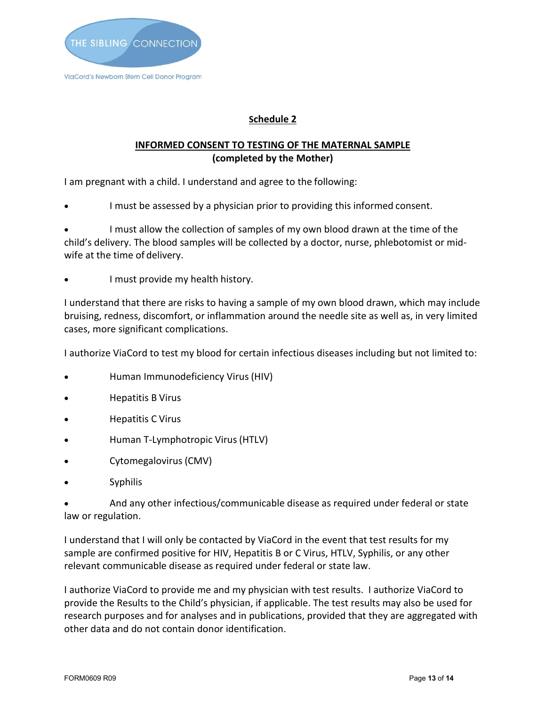

# **Schedule 2**

# **INFORMED CONSENT TO TESTING OF THE MATERNAL SAMPLE (completed by the Mother)**

I am pregnant with a child. I understand and agree to the following:

I must be assessed by a physician prior to providing this informed consent.

• I must allow the collection of samples of my own blood drawn at the time of the child's delivery. The blood samples will be collected by a doctor, nurse, phlebotomist or midwife at the time of delivery.

I must provide my health history.

I understand that there are risks to having a sample of my own blood drawn, which may include bruising, redness, discomfort, or inflammation around the needle site as well as, in very limited cases, more significant complications.

I authorize ViaCord to test my blood for certain infectious diseases including but not limited to:

- Human Immunodeficiency Virus (HIV)
- Hepatitis B Virus
- Hepatitis C Virus
- Human T-Lymphotropic Virus (HTLV)
- Cytomegalovirus (CMV)
- **Syphilis**

• And any other infectious/communicable disease as required under federal or state law or regulation.

I understand that I will only be contacted by ViaCord in the event that test results for my sample are confirmed positive for HIV, Hepatitis B or C Virus, HTLV, Syphilis, or any other relevant communicable disease as required under federal or state law.

I authorize ViaCord to provide me and my physician with test results. I authorize ViaCord to provide the Results to the Child's physician, if applicable. The test results may also be used for research purposes and for analyses and in publications, provided that they are aggregated with other data and do not contain donor identification.